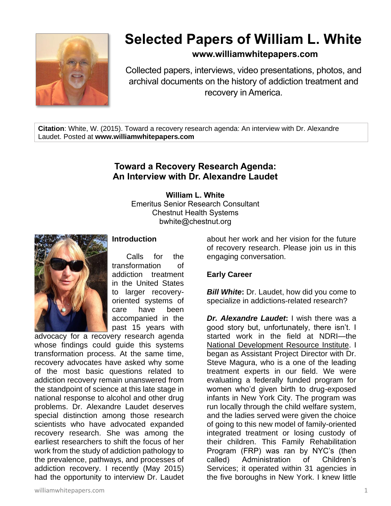

# **Selected Papers of William L. White**

# **www.williamwhitepapers.com**

Collected papers, interviews, video presentations, photos, and archival documents on the history of addiction treatment and recovery in America.

**Citation**: White, W. (2015). Toward a recovery research agenda: An interview with Dr. Alexandre Laudet. Posted at **www.williamwhitepapers.com**

# **Toward a Recovery Research Agenda: An Interview with Dr. Alexandre Laudet**

**William L. White** Emeritus Senior Research Consultant Chestnut Health Systems bwhite@chestnut.org



## **Introduction**

Calls for the transformation of addiction treatment in the United States to larger recoveryoriented systems of care have been accompanied in the past 15 years with

advocacy for a recovery research agenda whose findings could quide this systems transformation process. At the same time, recovery advocates have asked why some of the most basic questions related to addiction recovery remain unanswered from the standpoint of science at this late stage in national response to alcohol and other drug problems. Dr. Alexandre Laudet deserves special distinction among those research scientists who have advocated expanded recovery research. She was among the earliest researchers to shift the focus of her work from the study of addiction pathology to the prevalence, pathways, and processes of addiction recovery. I recently (May 2015) had the opportunity to interview Dr. Laudet about her work and her vision for the future of recovery research. Please join us in this engaging conversation.

#### **Early Career**

*Bill White***:** Dr. Laudet, how did you come to specialize in addictions-related research?

*Dr. Alexandre Laudet***:** I wish there was a good story but, unfortunately, there isn't. I started work in the field at NDRI—the [National Development Resource Institute.](http://www.ndri.org/cstar.html) I began as Assistant Project Director with Dr. Steve Magura, who is a one of the leading treatment experts in our field. We were evaluating a federally funded program for women who'd given birth to drug-exposed infants in New York City. The program was run locally through the child welfare system, and the ladies served were given the choice of going to this new model of family-oriented integrated treatment or losing custody of their children. This Family Rehabilitation Program (FRP) was ran by NYC's (then called) Administration of Children's Services; it operated within 31 agencies in the five boroughs in New York. I knew little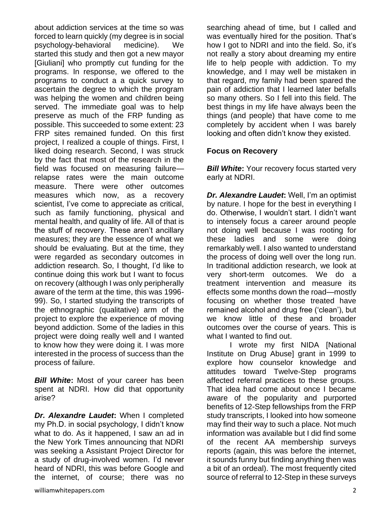about addiction services at the time so was forced to learn quickly (my degree is in social psychology-behavioral medicine). We started this study and then got a new mayor [Giuliani] who promptly cut funding for the programs. In response, we offered to the programs to conduct a a quick survey to ascertain the degree to which the program was helping the women and children being served. The immediate goal was to help preserve as much of the FRP funding as possible. This succeeded to some extent: 23 FRP sites remained funded. On this first project, I realized a couple of things. First, I liked doing research. Second, I was struck by the fact that most of the research in the field was focused on measuring failure relapse rates were the main outcome measure. There were other outcomes measures which now, as a recovery scientist, I've come to appreciate as critical, such as family functioning, physical and mental health, and quality of life. All of that is the stuff of recovery. These aren't ancillary measures; they are the essence of what we should be evaluating. But at the time, they were regarded as secondary outcomes in addiction research. So, I thought, I'd like to continue doing this work but I want to focus on recovery (although I was only peripherally aware of the term at the time, this was 1996- 99). So, I started studying the transcripts of the ethnographic (qualitative) arm of the project to explore the experience of moving beyond addiction. Some of the ladies in this project were doing really well and I wanted to know how they were doing it. I was more interested in the process of success than the process of failure.

*Bill White***:** Most of your career has been spent at NDRI. How did that opportunity arise?

*Dr. Alexandre Laudet***:** When I completed my Ph.D. in social psychology, I didn't know what to do. As it happened, I saw an ad in the New York Times announcing that NDRI was seeking a Assistant Project Director for a study of drug-involved women. I'd never heard of NDRI, this was before Google and the internet, of course; there was no

searching ahead of time, but I called and was eventually hired for the position. That's how I got to NDRI and into the field. So, it's not really a story about dreaming my entire life to help people with addiction. To my knowledge, and I may well be mistaken in that regard, my family had been spared the pain of addiction that I learned later befalls so many others. So I fell into this field. The best things in my life have always been the things (and people) that have come to me completely by accident when I was barely looking and often didn't know they existed.

## **Focus on Recovery**

*Bill White:* Your recovery focus started very early at NDRI.

*Dr. Alexandre Laudet***:** Well, I'm an optimist by nature. I hope for the best in everything I do. Otherwise, I wouldn't start. I didn't want to intensely focus a career around people not doing well because I was rooting for these ladies and some were doing remarkably well. I also wanted to understand the process of doing well over the long run. In traditional addiction research, we look at very short-term outcomes. We do a treatment intervention and measure its effects some months down the road—mostly focusing on whether those treated have remained alcohol and drug free ('clean'), but we know little of these and broader outcomes over the course of years. This is what I wanted to find out.

I wrote my first NIDA [National Institute on Drug Abuse] grant in 1999 to explore how counselor knowledge and attitudes toward Twelve-Step programs affected referral practices to these groups. That idea had come about once I became aware of the popularity and purported benefits of 12-Step fellowships from the FRP study transcripts, I looked into how someone may find their way to such a place. Not much information was available but I did find some of the recent AA membership surveys reports (again, this was before the internet, it sounds funny but finding anything then was a bit of an ordeal). The most frequently cited source of referral to 12-Step in these surveys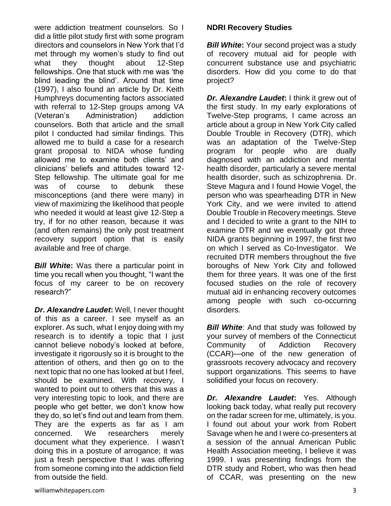were addiction treatment counselors. So I did a little pilot study first with some program directors and counselors in New York that I'd met through my women's study to find out what they thought about 12-Step fellowships. One that stuck with me was 'the blind leading the blind'. Around that time (1997), I also found an article by Dr. Keith Humphreys documenting factors associated with referral to 12-Step groups among VA (Veteran's Administration) addiction counselors. Both that article and the small pilot I conducted had similar findings. This allowed me to build a case for a research grant proposal to NIDA whose funding allowed me to examine both clients' and clinicians' beliefs and attitudes toward 12- Step fellowship. The ultimate goal for me was of course to debunk these misconceptions (and there were many) in view of maximizing the likelihood that people who needed it would at least give 12-Step a try, if for no other reason, because it was (and often remains) the only post treatment recovery support option that is easily available and free of charge.

*Bill White***:** Was there a particular point in time you recall when you thought, "I want the focus of my career to be on recovery research?"

*Dr. Alexandre Laudet***:** Well, I never thought of this as a career. I see myself as an explorer. As such, what I enjoy doing with my research is to identify a topic that I just cannot believe nobody's looked at before, investigate it rigorously so it is brought to the attention of others, and then go on to the next topic that no one has looked at but I feel, should be examined. With recovery, I wanted to point out to others that this was a very interesting topic to look, and there are people who get better, we don't know how they do, so let's find out and learn from them. They are the experts as far as I am concerned. We researchers merely document what they experience. I wasn't doing this in a posture of arrogance; it was just a fresh perspective that I was offering from someone coming into the addiction field from outside the field.

## **NDRI Recovery Studies**

*Bill White:* Your second project was a study of recovery mutual aid for people with concurrent substance use and psychiatric disorders. How did you come to do that project?

*Dr. Alexandre Laudet***:** I think it grew out of the first study. In my early explorations of Twelve-Step programs, I came across an article about a group in New York City called Double Trouble in Recovery (DTR), which was an adaptation of the Twelve-Step program for people who are dually diagnosed with an addiction and mental health disorder, particularly a severe mental health disorder, such as schizophrenia. Dr. Steve Magura and I found Howie Vogel, the person who was spearheading DTR in New York City, and we were invited to attend Double Trouble in Recovery meetings. Steve and I decided to write a grant to the NIH to examine DTR and we eventually got three NIDA grants beginning in 1997, the first two on which I served as Co-Investigator. We recruited DTR members throughout the five boroughs of New York City and followed them for three years. It was one of the first focused studies on the role of recovery mutual aid in enhancing recovery outcomes among people with such co-occurring disorders.

**Bill White:** And that study was followed by your survey of members of the Connecticut Community of Addiction Recovery (CCAR)—one of the new generation of grassroots recovery advocacy and recovery support organizations. This seems to have solidified your focus on recovery.

*Dr. Alexandre Laudet***:** Yes. Although looking back today, what really put recovery on the radar screen for me, ultimately, is you. I found out about your work from Robert Savage when he and I were co-presenters at a session of the annual American Public Health Association meeting, I believe it was 1999. I was presenting findings from the DTR study and Robert, who was then head of CCAR, was presenting on the new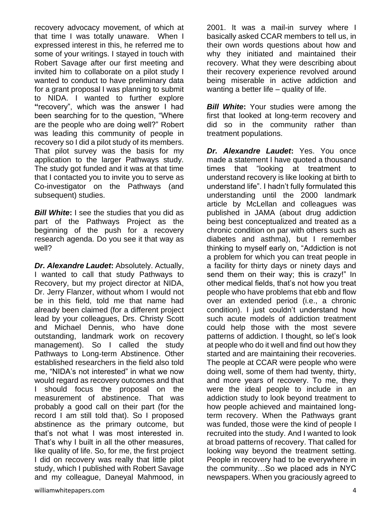recovery advocacy movement, of which at that time I was totally unaware. When I expressed interest in this, he referred me to some of your writings. I stayed in touch with Robert Savage after our first meeting and invited him to collaborate on a pilot study I wanted to conduct to have preliminary data for a grant proposal I was planning to submit to NIDA. I wanted to further explore **"**recovery", which was the answer I had been searching for to the question, "Where are the people who are doing well?" Robert was leading this community of people in recovery so I did a pilot study of its members. That pilot survey was the basis for my application to the larger Pathways study. The study got funded and it was at that time that I contacted you to invite you to serve as Co-investigator on the Pathways (and subsequent) studies.

*Bill White***:** I see the studies that you did as part of the Pathways Project as the beginning of the push for a recovery research agenda. Do you see it that way as well?

*Dr. Alexandre Laudet***:** Absolutely. Actually, I wanted to call that study Pathways to Recovery, but my project director at NIDA, Dr. Jerry Flanzer, without whom I would not be in this field, told me that name had already been claimed (for a different project lead by your colleagues, Drs. Christy Scott and Michael Dennis, who have done outstanding, landmark work on recovery management). So I called the study Pathways to Long-term Abstinence. Other established researchers in the field also told me, "NIDA's not interested" in what we now would regard as recovery outcomes and that I should focus the proposal on the measurement of abstinence. That was probably a good call on their part (for the record I am still told that). So I proposed abstinence as the primary outcome, but that's not what I was most interested in. That's why I built in all the other measures, like quality of life. So, for me, the first project I did on recovery was really that little pilot study, which I published with Robert Savage and my colleague, Daneyal Mahmood, in 2001. It was a mail-in survey where I basically asked CCAR members to tell us, in their own words questions about how and why they initiated and maintained their recovery. What they were describing about their recovery experience revolved around being miserable in active addiction and wanting a better life – quality of life.

**Bill White:** Your studies were among the first that looked at long-term recovery and did so in the community rather than treatment populations.

*Dr. Alexandre Laudet***:** Yes. You once made a statement I have quoted a thousand times that "looking at treatment to understand recovery is like looking at birth to understand life". I hadn't fully formulated this understanding until the 2000 landmark article by McLellan and colleagues was published in JAMA (about drug addiction being best conceptualized and treated as a chronic condition on par with others such as diabetes and asthma), but I remember thinking to myself early on, "Addiction is not a problem for which you can treat people in a facility for thirty days or ninety days and send them on their way; this is crazy!" In other medical fields, that's not how you treat people who have problems that ebb and flow over an extended period (i.e., a chronic condition). I just couldn't understand how such acute models of addiction treatment could help those with the most severe patterns of addiction. I thought, so let's look at people who do it well and find out how they started and are maintaining their recoveries. The people at CCAR were people who were doing well, some of them had twenty, thirty, and more years of recovery. To me, they were the ideal people to include in an addiction study to look beyond treatment to how people achieved and maintained longterm recovery. When the Pathways grant was funded, those were the kind of people I recruited into the study. And I wanted to look at broad patterns of recovery. That called for looking way beyond the treatment setting. People in recovery had to be everywhere in the community…So we placed ads in NYC newspapers. When you graciously agreed to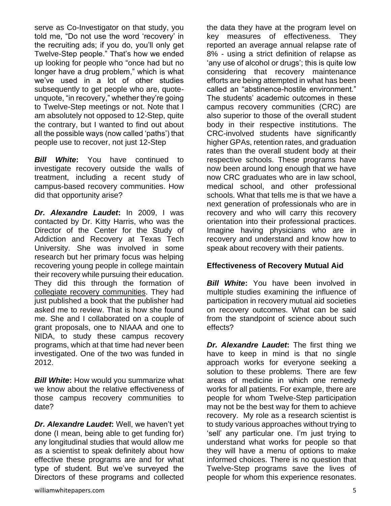serve as Co-Investigator on that study, you told me, "Do not use the word 'recovery' in the recruiting ads; if you do, you'll only get Twelve-Step people." That's how we ended up looking for people who "once had but no longer have a drug problem," which is what we've used in a lot of other studies subsequently to get people who are, quoteunquote, "in recovery," whether they're going to Twelve-Step meetings or not. Note that I am absolutely not opposed to 12-Step, quite the contrary, but I wanted to find out about all the possible ways (now called 'paths') that people use to recover, not just 12-Step

*Bill White***:** You have continued to investigate recovery outside the walls of treatment, including a recent study of campus-based recovery communities. How did that opportunity arise?

*Dr. Alexandre Laudet***:** In 2009, I was contacted by Dr. Kitty Harris, who was the Director of the Center for the Study of Addiction and Recovery at Texas Tech University. She was involved in some research but her primary focus was helping recovering young people in college maintain their recovery while pursuing their education. They did this through the formation of [collegiate recovery communities.](http://collegiaterecovery.org/) They had just published a book that the publisher had asked me to review. That is how she found me. She and I collaborated on a couple of grant proposals, one to NIAAA and one to NIDA, to study these campus recovery programs, which at that time had never been investigated. One of the two was funded in 2012.

*Bill White***:** How would you summarize what we know about the relative effectiveness of those campus recovery communities to date?

*Dr. Alexandre Laudet***:** Well, we haven't yet done (I mean, being able to get funding for) any longitudinal studies that would allow me as a scientist to speak definitely about how effective these programs are and for what type of student. But we've surveyed the Directors of these programs and collected the data they have at the program level on key measures of effectiveness. They reported an average annual relapse rate of 8% - using a strict definition of relapse as 'any use of alcohol or drugs'; this is quite low considering that recovery maintenance efforts are being attempted in what has been called an "abstinence-hostile environment." The students' academic outcomes in these campus recovery communities (CRC) are also superior to those of the overall student body in their respective institutions. The CRC-involved students have significantly higher GPAs, retention rates, and graduation rates than the overall student body at their respective schools. These programs have now been around long enough that we have now CRC graduates who are in law school, medical school, and other professional schools. What that tells me is that we have a next generation of professionals who are in recovery and who will carry this recovery orientation into their professional practices. Imagine having physicians who are in recovery and understand and know how to speak about recovery with their patients.

## **Effectiveness of Recovery Mutual Aid**

*Bill White***:** You have been involved in multiple studies examining the influence of participation in recovery mutual aid societies on recovery outcomes. What can be said from the standpoint of science about such effects?

*Dr. Alexandre Laudet***:** The first thing we have to keep in mind is that no single approach works for everyone seeking a solution to these problems. There are few areas of medicine in which one remedy works for all patients. For example, there are people for whom Twelve-Step participation may not be the best way for them to achieve recovery. My role as a research scientist is to study various approaches without trying to 'sell' any particular one. I'm just trying to understand what works for people so that they will have a menu of options to make informed choices. There is no question that Twelve-Step programs save the lives of people for whom this experience resonates.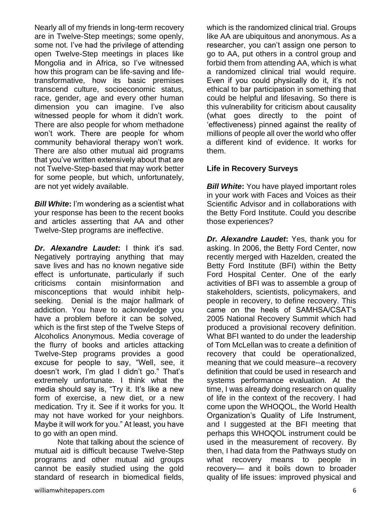Nearly all of my friends in long-term recovery are in Twelve-Step meetings; some openly, some not. I've had the privilege of attending open Twelve-Step meetings in places like Mongolia and in Africa, so I've witnessed how this program can be life-saving and lifetransformative, how its basic premises transcend culture, socioeconomic status, race, gender, age and every other human dimension you can imagine. I've also witnessed people for whom it didn't work. There are also people for whom methadone won't work. There are people for whom community behavioral therapy won't work. There are also other mutual aid programs that you've written extensively about that are not Twelve-Step-based that may work better for some people, but which, unfortunately, are not yet widely available.

*Bill White***:** I'm wondering as a scientist what your response has been to the recent books and articles asserting that AA and other Twelve-Step programs are ineffective.

*Dr. Alexandre Laudet***:** I think it's sad. Negatively portraying anything that may save lives and has no known negative side effect is unfortunate, particularly if such criticisms contain misinformation and misconceptions that would inhibit helpseeking. Denial is the major hallmark of addiction. You have to acknowledge you have a problem before it can be solved, which is the first step of the Twelve Steps of Alcoholics Anonymous. Media coverage of the flurry of books and articles attacking Twelve-Step programs provides a good excuse for people to say, "Well, see, it doesn't work, I'm glad I didn't go." That's extremely unfortunate. I think what the media should say is, "Try it. It's like a new form of exercise, a new diet, or a new medication. Try it. See if it works for you. It may not have worked for your neighbors. Maybe it will work for you." At least, you have to go with an open mind.

Note that talking about the science of mutual aid is difficult because Twelve-Step programs and other mutual aid groups cannot be easily studied using the gold standard of research in biomedical fields,

which is the randomized clinical trial. Groups like AA are ubiquitous and anonymous. As a researcher, you can't assign one person to go to AA, put others in a control group and forbid them from attending AA, which is what a randomized clinical trial would require. Even if you could physically do it, it's not ethical to bar participation in something that could be helpful and lifesaving. So there is this vulnerability for criticism about causality (what goes directly to the point of 'effectiveness) pinned against the reality of millions of people all over the world who offer a different kind of evidence. It works for them.

## **Life in Recovery Surveys**

*Bill White***:** You have played important roles in your work with Faces and Voices as their Scientific Advisor and in collaborations with the Betty Ford Institute. Could you describe those experiences?

*Dr. Alexandre Laudet***:** Yes, thank you for asking. In 2006, the Betty Ford Center, now recently merged with Hazelden, created the Betty Ford Institute (BFI) within the Betty Ford Hospital Center. One of the early activities of BFI was to assemble a group of stakeholders, scientists, policymakers, and people in recovery, to define recovery. This came on the heels of SAMHSA/CSAT's 2005 National Recovery Summit which had produced a provisional recovery definition. What BFI wanted to do under the leadership of Tom McLellan was to create a definition of recovery that could be operationalized, meaning that we could measure--a recovery definition that could be used in research and systems performance evaluation. At the time, I was already doing research on quality of life in the context of the recovery. I had come upon the WHOQOL, the World Health Organization's Quality of Life Instrument, and I suggested at the BFI meeting that perhaps this WHOQOL instrument could be used in the measurement of recovery. By then, I had data from the Pathways study on what recovery means to people in recovery— and it boils down to broader quality of life issues: improved physical and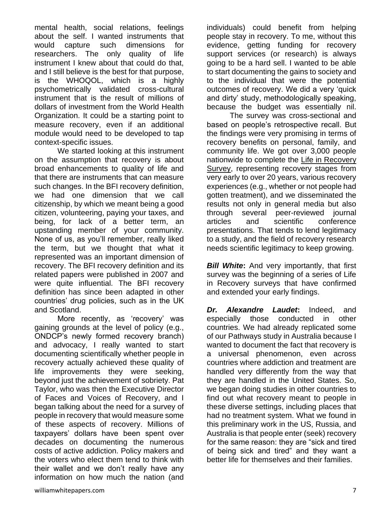mental health, social relations, feelings about the self. I wanted instruments that would capture such dimensions for researchers. The only quality of life instrument I knew about that could do that, and I still believe is the best for that purpose, is the WHOQOL, which is a highly psychometrically validated cross-cultural instrument that is the result of millions of dollars of investment from the World Health Organization. It could be a starting point to measure recovery, even if an additional module would need to be developed to tap context-specific issues.

We started looking at this instrument on the assumption that recovery is about broad enhancements to quality of life and that there are instruments that can measure such changes. In the BFI recovery definition, we had one dimension that we call citizenship, by which we meant being a good citizen, volunteering, paying your taxes, and being, for lack of a better term, an upstanding member of your community. None of us, as you'll remember, really liked the term, but we thought that what it represented was an important dimension of recovery. The BFI recovery definition and its related papers were published in 2007 and were quite influential. The BFI recovery definition has since been adapted in other countries' drug policies, such as in the UK and Scotland.

More recently, as 'recovery' was gaining grounds at the level of policy (e.g., ONDCP's newly formed recovery branch) and advocacy, I really wanted to start documenting scientifically whether people in recovery actually achieved these quality of life improvements they were seeking, beyond just the achievement of sobriety. Pat Taylor, who was then the Executive Director of Faces and Voices of Recovery, and I began talking about the need for a survey of people in recovery that would measure some of these aspects of recovery. Millions of taxpayers' dollars have been spent over decades on documenting the numerous costs of active addiction. Policy makers and the voters who elect them tend to think with their wallet and we don't really have any information on how much the nation (and

individuals) could benefit from helping people stay in recovery. To me, without this evidence, getting funding for recovery support services (or research) is always going to be a hard sell. I wanted to be able to start documenting the gains to society and to the individual that were the potential outcomes of recovery. We did a very 'quick and dirty' study, methodologically speaking, because the budget was essentially nil.

The survey was cross-sectional and based on people's retrospective recall. But the findings were very promising in terms of recovery benefits on personal, family, and community life. We got over 3,000 people nationwide to complete the [Life in Recovery](http://www.facesandvoicesofrecovery.org/resources/life-recovery-survey)  [Survey,](http://www.facesandvoicesofrecovery.org/resources/life-recovery-survey) representing recovery stages from very early to over 20 years, various recovery experiences (e.g., whether or not people had gotten treatment), and we disseminated the results not only in general media but also through several peer-reviewed journal articles and scientific conference presentations. That tends to lend legitimacy to a study, and the field of recovery research needs scientific legitimacy to keep growing.

**Bill White:** And very importantly, that first survey was the beginning of a series of Life in Recovery surveys that have confirmed and extended your early findings.

*Dr. Alexandre Laudet***:** Indeed, and especially those conducted in other countries. We had already replicated some of our Pathways study in Australia because I wanted to document the fact that recovery is a universal phenomenon, even across countries where addiction and treatment are handled very differently from the way that they are handled in the United States. So, we began doing studies in other countries to find out what recovery meant to people in these diverse settings, including places that had no treatment system. What we found in this preliminary work in the US, Russia, and Australia is that people enter (seek) recovery for the same reason: they are "sick and tired of being sick and tired" and they want a better life for themselves and their families.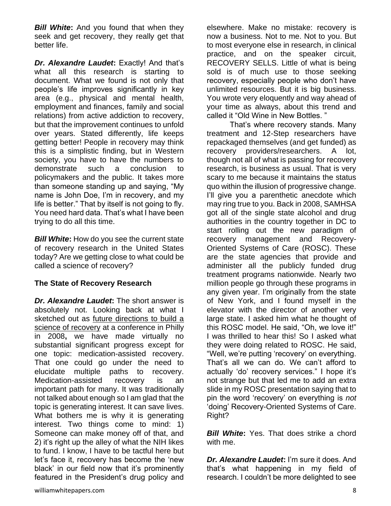**Bill White:** And you found that when they seek and get recovery, they really get that better life.

*Dr. Alexandre Laudet***:** Exactly! And that's what all this research is starting to document. What we found is not only that people's life improves significantly in key area (e.g., physical and mental health, employment and finances, family and social relations) from active addiction to recovery, but that the improvement continues to unfold over years. Stated differently, life keeps getting better! People in recovery may think this is a simplistic finding, but in Western society, you have to have the numbers to demonstrate such a conclusion to policymakers and the public. It takes more than someone standing up and saying, "My name is John Doe, I'm in recovery, and my life is better." That by itself is not going to fly. You need hard data. That's what I have been trying to do all this time.

*Bill White***:** How do you see the current state of recovery research in the United States today? Are we getting close to what could be called a science of recovery?

#### **The State of Recovery Research**

*Dr. Alexandre Laudet***:** The short answer is absolutely not. Looking back at what I sketched out as [future directions to build a](http://www.nattc.org/learn/topics/rosc/docs/buildingthescience.pdf)  [science of recovery](http://www.nattc.org/learn/topics/rosc/docs/buildingthescience.pdf) at a conference in Philly in 2008**,** we have made virtually no substantial significant progress except for one topic: medication-assisted recovery. That one could go under the need to elucidate multiple paths to recovery. Medication-assisted recovery is an important path for many. It was traditionally not talked about enough so I am glad that the topic is generating interest. It can save lives. What bothers me is why it is generating interest. Two things come to mind: 1) Someone can make money off of that, and 2) it's right up the alley of what the NIH likes to fund. I know, I have to be tactful here but let's face it, recovery has become the 'new black' in our field now that it's prominently featured in the President's drug policy and elsewhere. Make no mistake: recovery is now a business. Not to me. Not to you. But to most everyone else in research, in clinical practice, and on the speaker circuit, RECOVERY SELLS. Little of what is being sold is of much use to those seeking recovery, especially people who don't have unlimited resources. But it is big business. You wrote very eloquently and way ahead of your time as always, about this trend and called it "Old Wine in New Bottles. "

That's where recovery stands. Many treatment and 12-Step researchers have repackaged themselves (and get funded) as recovery providers/researchers. A lot, though not all of what is passing for recovery research, is business as usual. That is very scary to me because it maintains the status quo within the illusion of progressive change. I'll give you a parenthetic anecdote which may ring true to you. Back in 2008, SAMHSA got all of the single state alcohol and drug authorities in the country together in DC to start rolling out the new paradigm of recovery management and Recovery-Oriented Systems of Care (ROSC). These are the state agencies that provide and administer all the publicly funded drug treatment programs nationwide. Nearly two million people go through these programs in any given year. I'm originally from the state of New York, and I found myself in the elevator with the director of another very large state. I asked him what he thought of this ROSC model. He said, "Oh, we love it!" I was thrilled to hear this! So I asked what they were doing related to ROSC. He said, "Well, we're putting 'recovery' on everything. That's all we can do. We can't afford to actually 'do' recovery services." I hope it's not strange but that led me to add an extra slide in my ROSC presentation saying that to pin the word 'recovery' on everything is *not*  'doing' Recovery-Oriented Systems of Care. Right?

*Bill White:* Yes. That does strike a chord with me.

*Dr. Alexandre Laudet***:** I'm sure it does. And that's what happening in my field of research. I couldn't be more delighted to see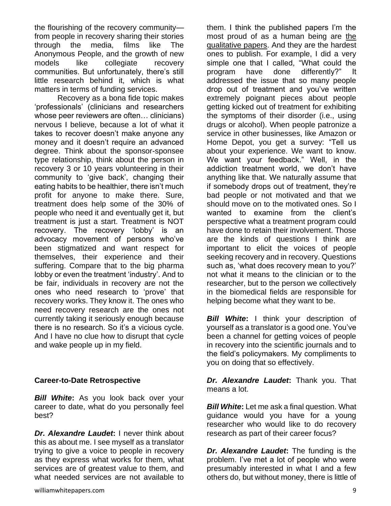the flourishing of the recovery community from people in recovery sharing their stories through the media, films like The Anonymous People, and the growth of new models like collegiate recovery communities. But unfortunately, there's still little research behind it, which is what matters in terms of funding services.

Recovery as a bona fide topic makes 'professionals' (clinicians and researchers whose peer reviewers are often… clinicians) nervous I believe, because a lot of what it takes to recover doesn't make anyone any money and it doesn't require an advanced degree. Think about the sponsor-sponsee type relationship, think about the person in recovery 3 or 10 years volunteering in their community to 'give back', changing their eating habits to be healthier, there isn't much profit for anyone to make there. Sure, treatment does help some of the 30% of people who need it and eventually get it, but treatment is just a start. Treatment is NOT recovery. The recovery 'lobby' is an advocacy movement of persons who've been stigmatized and want respect for themselves, their experience and their suffering. Compare that to the big pharma lobby or even the treatment 'industry'. And to be fair, individuals in recovery are not the ones who need research to 'prove' that recovery works. They know it. The ones who need recovery research are the ones not currently taking it seriously enough because there is no research. So it's a vicious cycle. And I have no clue how to disrupt that cycle and wake people up in my field.

#### **Career-to-Date Retrospective**

*Bill White***:** As you look back over your career to date, what do you personally feel best?

*Dr. Alexandre Laudet***:** I never think about this as about me. I see myself as a translator trying to give a voice to people in recovery as they express what works for them, what services are of greatest value to them, and what needed services are not available to

them. I think the published papers I'm the most proud of as a human being are [the](http://www.ncbi.nlm.nih.gov/sites/myncbi/alexandre.laudet.1/bibliography/9368202/public/?sort=date&direction=descendinghttp://www.ncbi.nlm.nih.gov/sites/entrez)  [qualitative papers.](http://www.ncbi.nlm.nih.gov/sites/myncbi/alexandre.laudet.1/bibliography/9368202/public/?sort=date&direction=descendinghttp://www.ncbi.nlm.nih.gov/sites/entrez) And they are the hardest ones to publish. For example, I did a very simple one that I called, "What could the program have done differently?" It addressed the issue that so many people drop out of treatment and you've written extremely poignant pieces about people getting kicked out of treatment for exhibiting the symptoms of their disorder (i.e., using drugs or alcohol). When people patronize a service in other businesses, like Amazon or Home Depot, you get a survey: "Tell us about your experience. We want to know. We want your feedback." Well, in the addiction treatment world, we don't have anything like that. We naturally assume that if somebody drops out of treatment, they're bad people or not motivated and that we should move on to the motivated ones. So I wanted to examine from the client's perspective what a treatment program could have done to retain their involvement. Those are the kinds of questions I think are important to elicit the voices of people seeking recovery and in recovery. Questions such as, 'what does recovery mean to you?' not what it means to the clinician or to the researcher, but to the person we collectively in the biomedical fields are responsible for helping become what they want to be.

**Bill White:** I think your description of yourself as a translator is a good one. You've been a channel for getting voices of people in recovery into the scientific journals and to the field's policymakers. My compliments to you on doing that so effectively.

*Dr. Alexandre Laudet***:** Thank you. That means a lot.

*Bill White***:** Let me ask a final question. What guidance would you have for a young researcher who would like to do recovery research as part of their career focus?

*Dr. Alexandre Laudet***:** The funding is the problem. I've met a lot of people who were presumably interested in what I and a few others do, but without money, there is little of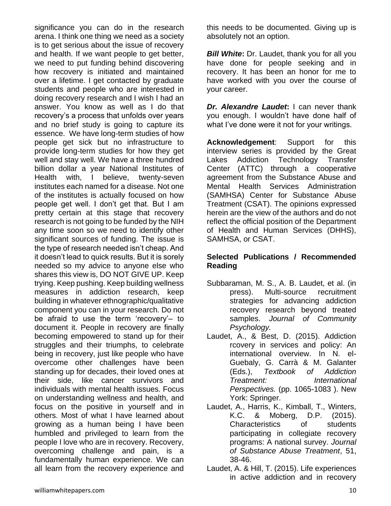significance you can do in the research arena. I think one thing we need as a society is to get serious about the issue of recovery and health. If we want people to get better, we need to put funding behind discovering how recovery is initiated and maintained over a lifetime. I get contacted by graduate students and people who are interested in doing recovery research and I wish I had an answer. You know as well as I do that recovery's a process that unfolds over years and no brief study is going to capture its essence. We have long-term studies of how people get sick but no infrastructure to provide long-term studies for how they get well and stay well. We have a three hundred billion dollar a year National Institutes of Health with, I believe, twenty-seven institutes each named for a disease. Not one of the institutes is actually focused on how people get well. I don't get that. But I am pretty certain at this stage that recovery research is not going to be funded by the NIH any time soon so we need to identify other significant sources of funding. The issue is the type of research needed isn't cheap. And it doesn't lead to quick results. But it is sorely needed so my advice to anyone else who shares this view is, DO NOT GIVE UP. Keep trying. Keep pushing. Keep building wellness measures in addiction research, keep building in whatever ethnographic/qualitative component you can in your research. Do not be afraid to use the term 'recovery'– to document it. People in recovery are finally becoming empowered to stand up for their struggles and their triumphs, to celebrate being in recovery, just like people who have overcome other challenges have been standing up for decades, their loved ones at their side, like cancer survivors and individuals with mental health issues. Focus on understanding wellness and health, and focus on the positive in yourself and in others. Most of what I have learned about growing as a human being I have been humbled and privileged to learn from the people I love who are in recovery. Recovery, overcoming challenge and pain, is a fundamentally human experience. We can all learn from the recovery experience and

this needs to be documented. Giving up is absolutely not an option.

**Bill White:** Dr. Laudet, thank you for all you have done for people seeking and in recovery. It has been an honor for me to have worked with you over the course of your career.

*Dr. Alexandre Laudet***:** I can never thank you enough. I wouldn't have done half of what I've done were it not for your writings.

**Acknowledgement**: Support for this interview series is provided by the Great Lakes Addiction Technology Transfer Center (ATTC) through a cooperative agreement from the Substance Abuse and Mental Health Services Administration (SAMHSA) Center for Substance Abuse Treatment (CSAT). The opinions expressed herein are the view of the authors and do not reflect the official position of the Department of Health and Human Services (DHHS), SAMHSA, or CSAT.

## **Selected Publications / Recommended Reading**

- Subbaraman, M. S., A. B. Laudet, et al. (in press). Multi-source recruitment strategies for advancing addiction recovery research beyond treated samples. *Journal of Community Psychology.*
- Laudet, A., & Best, D. (2015). Addiction rcovery in services and policy: An international overview. In N. el-Guebaly, G. Carrà & M. Galanter (Eds.), *Textbook of Addiction Treatment: International Perspectives.* (pp. 1065-1083 ). New York: Springer.
- Laudet, A., Harris, K., Kimball, T., Winters, K.C. & Moberg, D.P. (2015). Characteristics of students participating in collegiate recovery programs: A national survey. *Journal of Substance Abuse Treatment*, 51, 38-46.
- Laudet, A. & Hill, T. (2015). Life experiences in active addiction and in recovery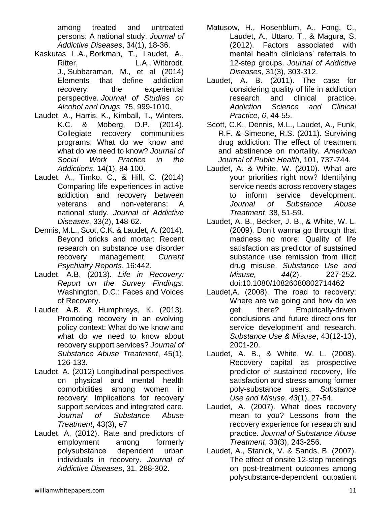among treated and untreated persons: A national study. *Journal of Addictive Diseases*, 34(1), 18-36.

- Kaskutas L.A., Borkman, T., Laudet, A., Ritter, **L.A., Witbrodt**, J., Subbaraman, M., et al (2014) Elements that define addiction recovery: the experiential perspective. *Journal of Studies on Alcohol and Drugs,* 75, 999-1010.
- Laudet, A., Harris, K., Kimball, T., Winters, K.C. & Moberg, D.P. (2014). Collegiate recovery communities programs: What do we know and what do we need to know? *Journal of Social Work Practice in the Addictions*, 14(1), 84-100.
- Laudet, A., Timko, C., & Hill, C. (2014) Comparing life experiences in active addiction and recovery between veterans and non-veterans: A national study. *Journal of Addictive Diseases*, 33(2), 148-62.
- Dennis, M.L., Scot, C.K. & Laudet, A. (2014). Beyond bricks and mortar: Recent research on substance use disorder recovery management. *Current Psychiatry Reports*, 16:442.
- Laudet, A.B. (2013). *Life in Recovery: Report on the Survey Findings*. Washington, D.C.: Faces and Voices of Recovery.
- Laudet, A.B. & Humphreys, K. (2013). Promoting recovery in an evolving policy context: What do we know and what do we need to know about recovery support services? *Journal of Substance Abuse Treatment*, 45(1), 126-133.
- Laudet, A. (2012) Longitudinal perspectives on physical and mental health comorbidities among women in recovery: Implications for recovery support services and integrated care. *Journal of Substance Abuse Treatment*, 43(3), e7
- Laudet, A. (2012). Rate and predictors of employment among formerly polysubstance dependent urban individuals in recovery. *Journal of Addictive Diseases*, 31, 288-302.
- Matusow, H., Rosenblum, A., Fong, C., Laudet, A., Uttaro, T., & Magura, S. (2012). Factors associated with mental health clinicians' referrals to 12-step groups. *Journal of Addictive Diseases*, 31(3), 303-312.
- Laudet, A. B. (2011). The case for considering quality of life in addiction research and clinical practice. *Addiction Science and Clinical Practice, 6*, 44-55.
- Scott, C.K., Dennis, M.L., Laudet, A., Funk, R.F. & Simeone, R.S. (2011). Surviving drug addiction: The effect of treatment and abstinence on mortality. *American Journal of Public Health*, 101, 737-744.
- Laudet, A. & White, W. (2010). What are your priorities right now? Identifying service needs across recovery stages to inform service development. *Journal of Substance Abuse Treatment*, 38, 51-59.
- Laudet, A. B., Becker, J. B., & White, W. L. (2009). Don't wanna go through that madness no more: Quality of life satisfaction as predictor of sustained substance use remission from illicit drug misuse. *Substance Use and Misuse, 44*(2), 227-252. doi:10.1080/10826080802714462
- Laudet,A. (2008). The road to recovery: Where are we going and how do we get there? Empirically-driven conclusions and future directions for service development and research. *Substance Use & Misuse*, 43(12-13), 2001-20.
- Laudet, A. B., & White, W. L. (2008). Recovery capital as prospective predictor of sustained recovery, life satisfaction and stress among former poly-substance users. *Substance Use and Misuse*, *43*(1), 27-54.
- Laudet, A. (2007). What does recovery mean to you? Lessons from the recovery experience for research and practice*. Journal of Substance Abuse Treatment*, 33(3), 243-256.
- Laudet, A., Stanick, V. & Sands, B. (2007). The effect of onsite 12-step meetings on post-treatment outcomes among polysubstance-dependent outpatient